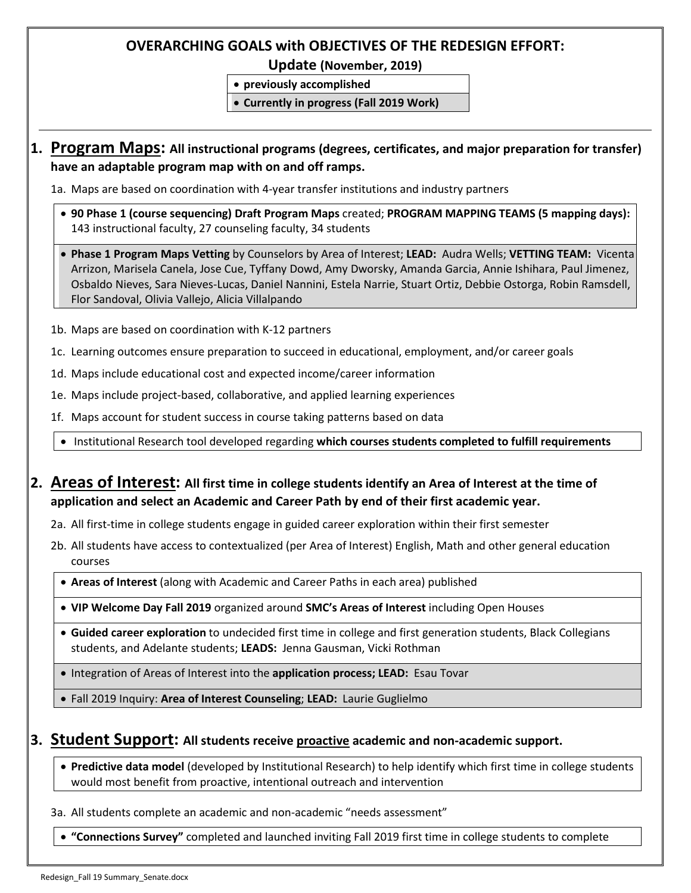### **OVERARCHING GOALS with OBJECTIVES OF THE REDESIGN EFFORT:**

**Update (November, 2019)**

• **previously accomplished**

• **Currently in progress (Fall 2019 Work)**

## **1. Program Maps: All instructional programs (degrees, certificates, and major preparation for transfer) have an adaptable program map with on and off ramps.**

1a. Maps are based on coordination with 4-year transfer institutions and industry partners

- **90 Phase 1 (course sequencing) Draft Program Maps** created; **PROGRAM MAPPING TEAMS (5 mapping days):** 143 instructional faculty, 27 counseling faculty, 34 students
- **Phase 1 Program Maps Vetting** by Counselors by Area of Interest; **LEAD:** Audra Wells; **VETTING TEAM:** Vicenta Arrizon, Marisela Canela, Jose Cue, Tyffany Dowd, Amy Dworsky, Amanda Garcia, Annie Ishihara, Paul Jimenez, Osbaldo Nieves, Sara Nieves-Lucas, Daniel Nannini, Estela Narrie, Stuart Ortiz, Debbie Ostorga, Robin Ramsdell, Flor Sandoval, Olivia Vallejo, Alicia Villalpando
- 1b. Maps are based on coordination with K-12 partners
- 1c. Learning outcomes ensure preparation to succeed in educational, employment, and/or career goals
- 1d. Maps include educational cost and expected income/career information
- 1e. Maps include project-based, collaborative, and applied learning experiences
- 1f. Maps account for student success in course taking patterns based on data

• Institutional Research tool developed regarding **which courses students completed to fulfill requirements**

## **2. Areas of Interest: All first time in college students identify an Area of Interest at the time of application and select an Academic and Career Path by end of their first academic year.**

- 2a. All first-time in college students engage in guided career exploration within their first semester
- 2b. All students have access to contextualized (per Area of Interest) English, Math and other general education courses
	- **Areas of Interest** (along with Academic and Career Paths in each area) published
	- **VIP Welcome Day Fall 2019** organized around **SMC's Areas of Interest** including Open Houses
	- **Guided career exploration** to undecided first time in college and first generation students, Black Collegians students, and Adelante students; **LEADS:** Jenna Gausman, Vicki Rothman
	- Integration of Areas of Interest into the **application process; LEAD:** Esau Tovar
	- Fall 2019 Inquiry: **Area of Interest Counseling**; **LEAD:** Laurie Guglielmo

#### **3. Student Support: All students receive proactive academic and non-academic support.**

• **Predictive data model** (developed by Institutional Research) to help identify which first time in college students would most benefit from proactive, intentional outreach and intervention

3a. All students complete an academic and non-academic "needs assessment"

• **"Connections Survey"** completed and launched inviting Fall 2019 first time in college students to complete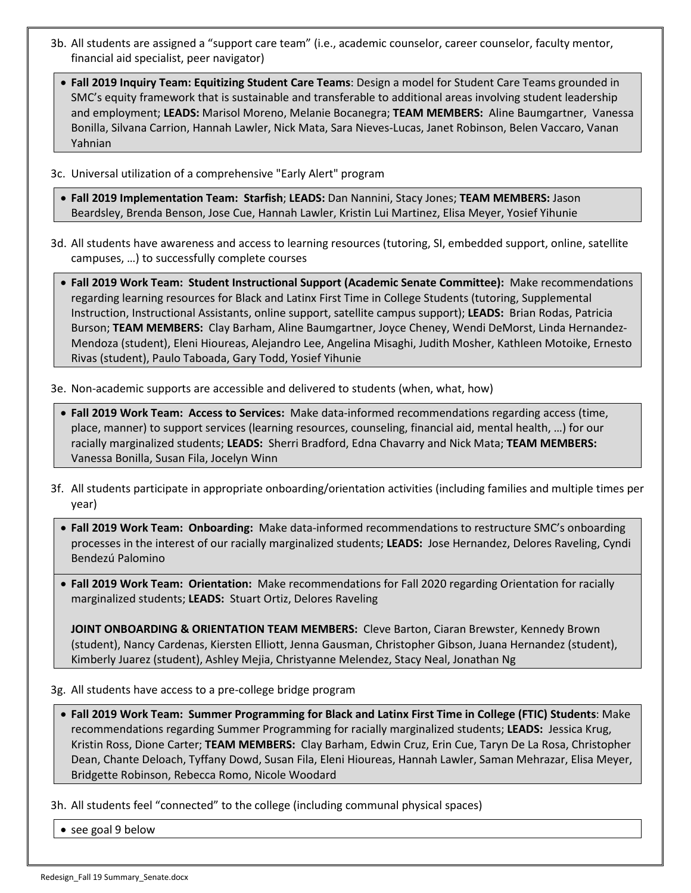- 3b. All students are assigned a "support care team" (i.e., academic counselor, career counselor, faculty mentor, financial aid specialist, peer navigator)
	- **Fall 2019 Inquiry Team: Equitizing Student Care Teams**: Design a model for Student Care Teams grounded in SMC's equity framework that is sustainable and transferable to additional areas involving student leadership and employment; **LEADS:** Marisol Moreno, Melanie Bocanegra; **TEAM MEMBERS:** Aline Baumgartner, Vanessa Bonilla, Silvana Carrion, Hannah Lawler, Nick Mata, Sara Nieves-Lucas, Janet Robinson, Belen Vaccaro, Vanan Yahnian
- 3c. Universal utilization of a comprehensive "Early Alert" program
	- **Fall 2019 Implementation Team: Starfish**; **LEADS:** Dan Nannini, Stacy Jones; **TEAM MEMBERS:** Jason Beardsley, Brenda Benson, Jose Cue, Hannah Lawler, Kristin Lui Martinez, Elisa Meyer, Yosief Yihunie
- 3d. All students have awareness and access to learning resources (tutoring, SI, embedded support, online, satellite campuses, …) to successfully complete courses
	- **Fall 2019 Work Team: Student Instructional Support (Academic Senate Committee):** Make recommendations regarding learning resources for Black and Latinx First Time in College Students (tutoring, Supplemental Instruction, Instructional Assistants, online support, satellite campus support); **LEADS:** Brian Rodas, Patricia Burson; **TEAM MEMBERS:** Clay Barham, Aline Baumgartner, Joyce Cheney, Wendi DeMorst, Linda Hernandez-Mendoza (student), Eleni Hioureas, Alejandro Lee, Angelina Misaghi, Judith Mosher, Kathleen Motoike, Ernesto Rivas (student), Paulo Taboada, Gary Todd, Yosief Yihunie

3e. Non-academic supports are accessible and delivered to students (when, what, how)

- **Fall 2019 Work Team: Access to Services:** Make data-informed recommendations regarding access (time, place, manner) to support services (learning resources, counseling, financial aid, mental health, …) for our racially marginalized students; **LEADS:** Sherri Bradford, Edna Chavarry and Nick Mata; **TEAM MEMBERS:** Vanessa Bonilla, Susan Fila, Jocelyn Winn
- 3f. All students participate in appropriate onboarding/orientation activities (including families and multiple times per year)
	- **Fall 2019 Work Team: Onboarding:** Make data-informed recommendations to restructure SMC's onboarding processes in the interest of our racially marginalized students; **LEADS:** Jose Hernandez, Delores Raveling, Cyndi Bendezú Palomino
	- **Fall 2019 Work Team: Orientation:** Make recommendations for Fall 2020 regarding Orientation for racially marginalized students; **LEADS:** Stuart Ortiz, Delores Raveling

**JOINT ONBOARDING & ORIENTATION TEAM MEMBERS:** Cleve Barton, Ciaran Brewster, Kennedy Brown (student), Nancy Cardenas, Kiersten Elliott, Jenna Gausman, Christopher Gibson, Juana Hernandez (student), Kimberly Juarez (student), Ashley Mejia, Christyanne Melendez, Stacy Neal, Jonathan Ng

3g. All students have access to a pre-college bridge program

- **Fall 2019 Work Team: Summer Programming for Black and Latinx First Time in College (FTIC) Students**: Make recommendations regarding Summer Programming for racially marginalized students; **LEADS:** Jessica Krug, Kristin Ross, Dione Carter; **TEAM MEMBERS:** Clay Barham, Edwin Cruz, Erin Cue, Taryn De La Rosa, Christopher Dean, Chante Deloach, Tyffany Dowd, Susan Fila, Eleni Hioureas, Hannah Lawler, Saman Mehrazar, Elisa Meyer, Bridgette Robinson, Rebecca Romo, Nicole Woodard
- 3h. All students feel "connected" to the college (including communal physical spaces)
	- see goal 9 below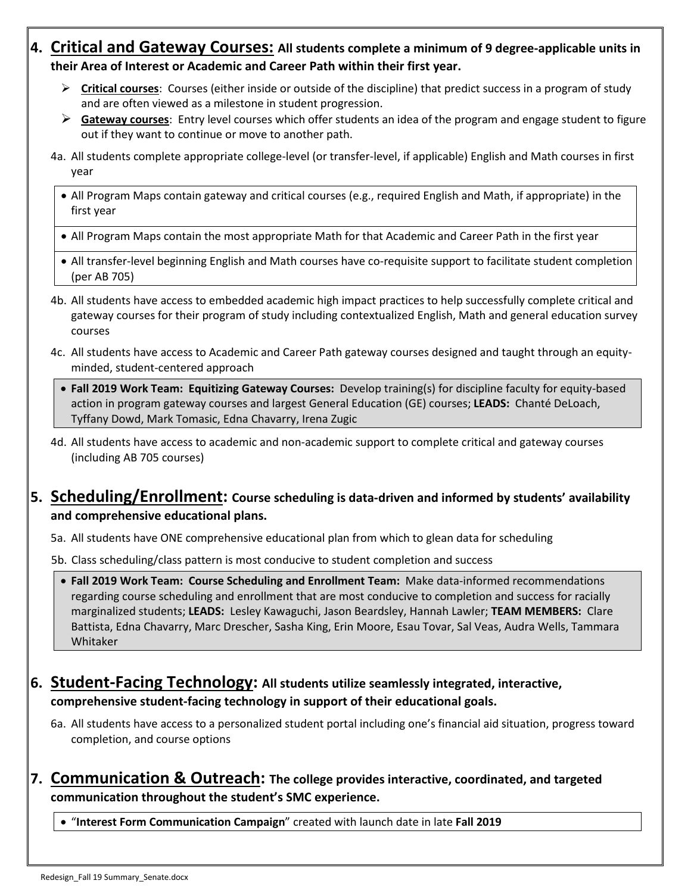## **4. Critical and Gateway Courses: All students complete a minimum of 9 degree-applicable units in their Area of Interest or Academic and Career Path within their first year.**

- **Critical courses**: Courses (either inside or outside of the discipline) that predict success in a program of study and are often viewed as a milestone in student progression.
- **Gateway courses**: Entry level courses which offer students an idea of the program and engage student to figure out if they want to continue or move to another path.
- 4a. All students complete appropriate college-level (or transfer-level, if applicable) English and Math courses in first year
	- All Program Maps contain gateway and critical courses (e.g., required English and Math, if appropriate) in the first year
	- All Program Maps contain the most appropriate Math for that Academic and Career Path in the first year
	- All transfer-level beginning English and Math courses have co-requisite support to facilitate student completion (per AB 705)
- 4b. All students have access to embedded academic high impact practices to help successfully complete critical and gateway courses for their program of study including contextualized English, Math and general education survey courses
- 4c. All students have access to Academic and Career Path gateway courses designed and taught through an equityminded, student-centered approach
	- **Fall 2019 Work Team: Equitizing Gateway Courses:** Develop training(s) for discipline faculty for equity-based action in program gateway courses and largest General Education (GE) courses; **LEADS:** Chanté DeLoach, Tyffany Dowd, Mark Tomasic, Edna Chavarry, Irena Zugic
- 4d. All students have access to academic and non-academic support to complete critical and gateway courses (including AB 705 courses)

## **5. Scheduling/Enrollment: Course scheduling is data-driven and informed by students' availability and comprehensive educational plans.**

- 5a. All students have ONE comprehensive educational plan from which to glean data for scheduling
- 5b. Class scheduling/class pattern is most conducive to student completion and success
	- **Fall 2019 Work Team: Course Scheduling and Enrollment Team:** Make data-informed recommendations regarding course scheduling and enrollment that are most conducive to completion and success for racially marginalized students; **LEADS:** Lesley Kawaguchi, Jason Beardsley, Hannah Lawler; **TEAM MEMBERS:** Clare Battista, Edna Chavarry, Marc Drescher, Sasha King, Erin Moore, Esau Tovar, Sal Veas, Audra Wells, Tammara Whitaker

# **6. Student-Facing Technology: All students utilize seamlessly integrated, interactive, comprehensive student-facing technology in support of their educational goals.**

6a. All students have access to a personalized student portal including one's financial aid situation, progress toward completion, and course options

## **7. Communication & Outreach: The college provides interactive, coordinated, and targeted communication throughout the student's SMC experience.**

• "**Interest Form Communication Campaign**" created with launch date in late **Fall 2019**